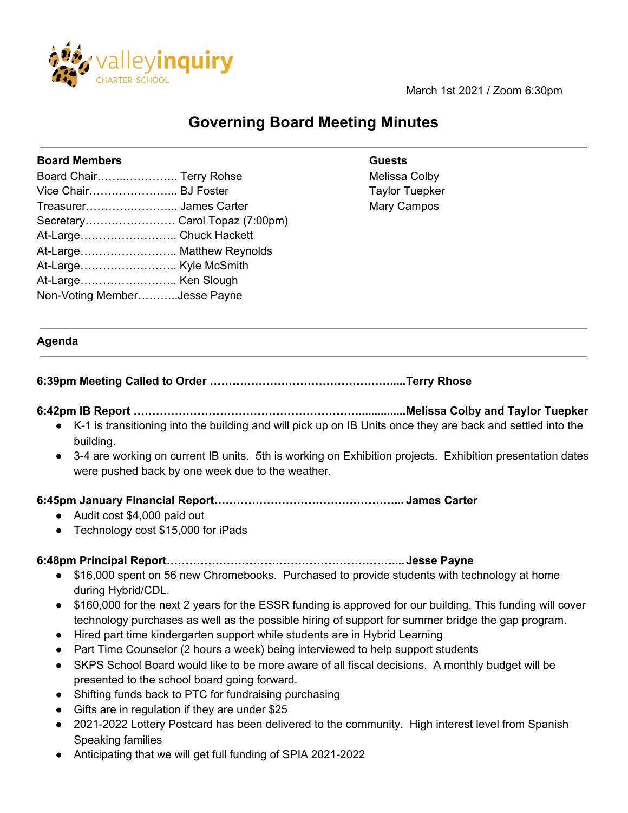

March 1st 2021 / Zoom 6:30pm

# **Governing Board Meeting Minutes**

#### **Board Members Guests**

| Board Chair Terry Rohse        |  |
|--------------------------------|--|
| Vice Chair BJ Foster           |  |
| Treasurer James Carter         |  |
| Secretary Carol Topaz (7:00pm) |  |
| At-Large Chuck Hackett         |  |
| At-Large Matthew Reynolds      |  |
|                                |  |
|                                |  |
| Non-Voting MemberJesse Payne   |  |
|                                |  |

# Melissa Colby **Taylor Tuepker** Mary Campos

#### **Agenda**

# **6:39pm Meeting Called to Order ………………………………………….....Terry Rhose**

# **6:42pm IB Report ……………………………………………………...............Melissa Colby and Taylor Tuepker**

- K-1 is transitioning into the building and will pick up on IB Units once they are back and settled into the building.
- 3-4 are working on current IB units. 5th is working on Exhibition projects. Exhibition presentation dates were pushed back by one week due to the weather.

#### **6:45pm January Financial Report…………………………………………... James Carter**

- Audit cost \$4,000 paid out
- Technology cost \$15,000 for iPads

#### **6:48pm Principal Report……………………………………………………....Jesse Payne**

- \$16,000 spent on 56 new Chromebooks. Purchased to provide students with technology at home during Hybrid/CDL.
- \$160,000 for the next 2 years for the ESSR funding is approved for our building. This funding will cover technology purchases as well as the possible hiring of support for summer bridge the gap program.
- Hired part time kindergarten support while students are in Hybrid Learning
- Part Time Counselor (2 hours a week) being interviewed to help support students
- SKPS School Board would like to be more aware of all fiscal decisions. A monthly budget will be presented to the school board going forward.
- Shifting funds back to PTC for fundraising purchasing
- Gifts are in regulation if they are under \$25
- 2021-2022 Lottery Postcard has been delivered to the community. High interest level from Spanish Speaking families
- Anticipating that we will get full funding of SPIA 2021-2022